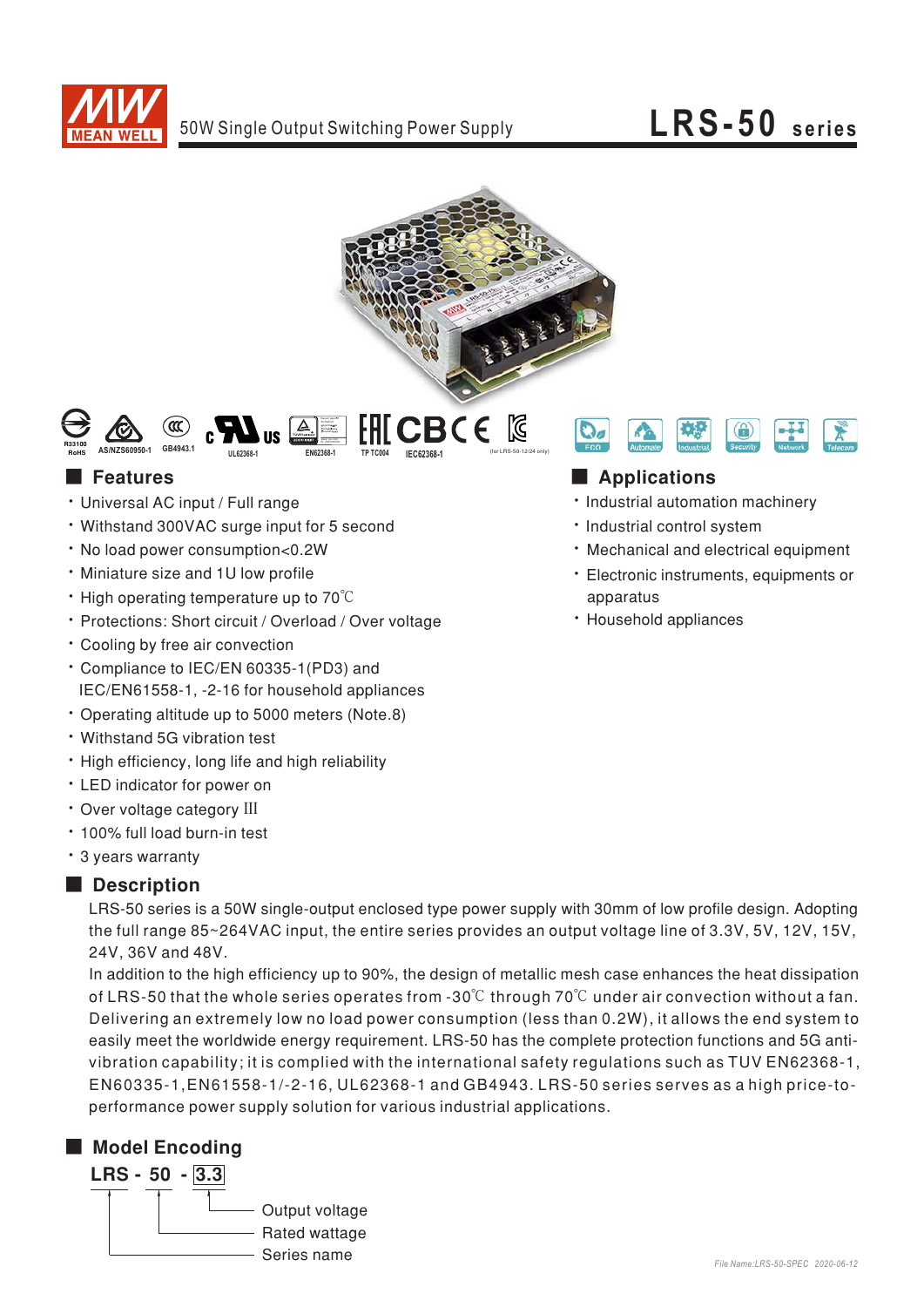

## $LRS-50$  series





#### **Features**

- · Universal AC input / Full range
- Withstand 300VAC surge input for 5 second
- . No load power consumption<0.2W
- . Miniature size and 1U low profile
- $\cdot$  High operating temperature up to 70 $\degree$ C
- · Protections: Short circuit / Overload / Over voltage
- \* Cooling by free air convection
- \* Compliance to IEC/EN 60335-1(PD3) and IEC/EN61558-1, -2-16 for household appliances
- \* Operating altitude up to 5000 meters (Note.8)
- Withstand 5G vibration test
- . High efficiency, long life and high reliability
- LED indicator for power on
- · Over voltage category III
- · 100% full load burn-in test
- \* 3 years warranty

#### Description

LRS-50 series is a 50W single-output enclosed type power supply with 30mm of low profile design. Adopting the full range 85~264VAC input, the entire series provides an output voltage line of 3.3V, 5V, 12V, 15V, 24V. 36V and 48V.

In addition to the high efficiency up to 90%, the design of metallic mesh case enhances the heat dissipation of LRS-50 that the whole series operates from -30 $\degree$ C through 70 $\degree$ C under air convection without a fan. Delivering an extremely low no load power consumption (less than 0.2W), it allows the end system to easily meet the worldwide energy requirement. LRS-50 has the complete protection functions and 5G antivibration capability; it is complied with the international safety regulations such as TUV EN62368-1, EN60335-1, EN61558-1/-2-16, UL62368-1 and GB4943. LRS-50 series serves as a high price-toperformance power supply solution for various industrial applications.

### Model Encoding





### Applications

- · Industrial automation machinery
- · Industrial control system
- · Mechanical and electrical equipment
- · Electronic instruments, equipments or apparatus
- · Household appliances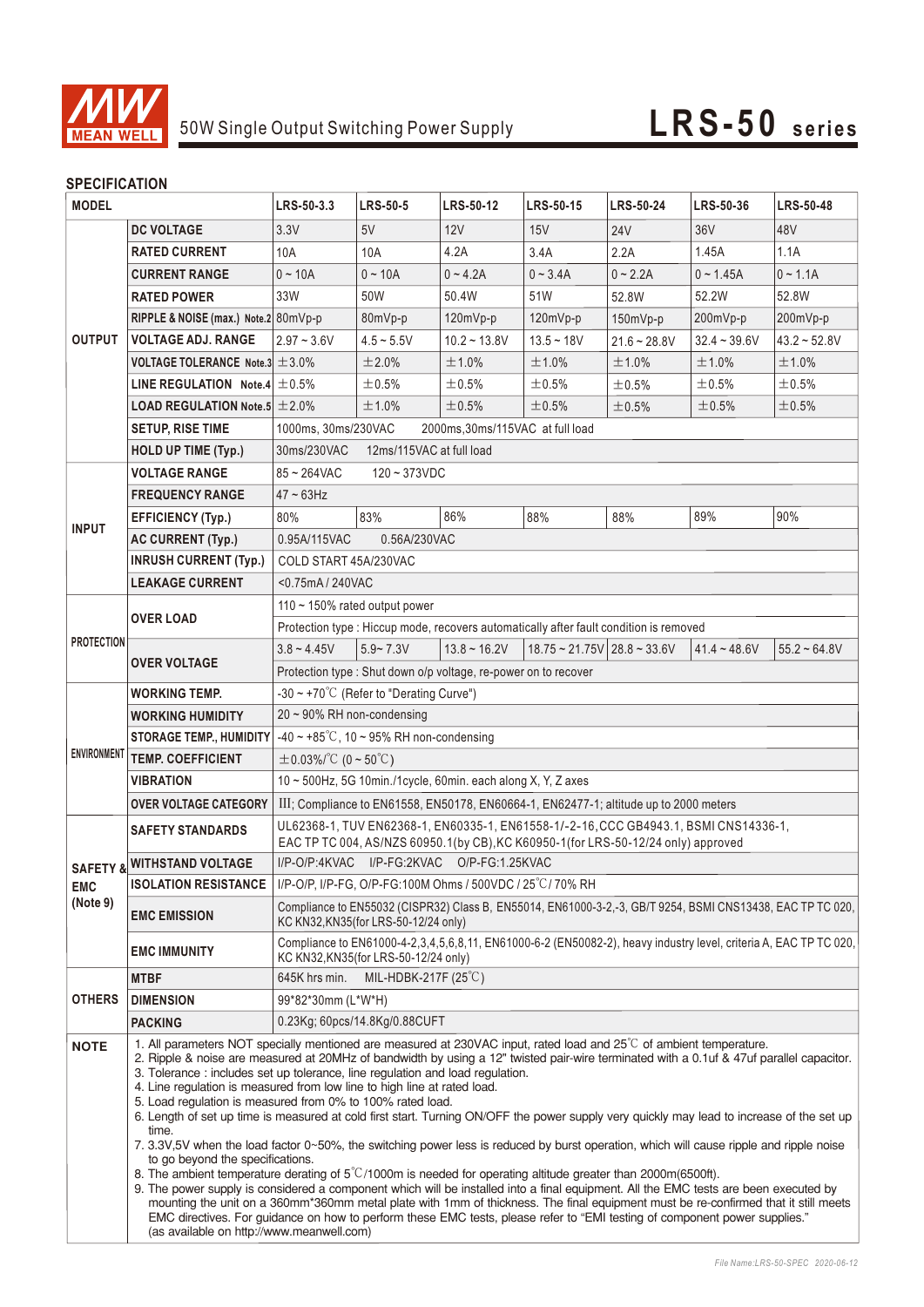

#### **SPECIFICATION**

| JE LUII IUMI IUN<br><b>MODEL</b>   |                                                                                                                                                                                                                                                                                                                                                                                                                                                                                                                                                                                                                                                                                                                                                                                                                                                                                                                                                                                                                                                                                                                                                                                                                                                                                                                                                                                                                                 | LRS-50-3.3                                                                                                                                                                | <b>LRS-50-5</b>                                                 | <b>LRS-50-12</b> | <b>LRS-50-15</b>                                            | <b>LRS-50-24</b> | LRS-50-36       | <b>LRS-50-48</b>  |  |
|------------------------------------|---------------------------------------------------------------------------------------------------------------------------------------------------------------------------------------------------------------------------------------------------------------------------------------------------------------------------------------------------------------------------------------------------------------------------------------------------------------------------------------------------------------------------------------------------------------------------------------------------------------------------------------------------------------------------------------------------------------------------------------------------------------------------------------------------------------------------------------------------------------------------------------------------------------------------------------------------------------------------------------------------------------------------------------------------------------------------------------------------------------------------------------------------------------------------------------------------------------------------------------------------------------------------------------------------------------------------------------------------------------------------------------------------------------------------------|---------------------------------------------------------------------------------------------------------------------------------------------------------------------------|-----------------------------------------------------------------|------------------|-------------------------------------------------------------|------------------|-----------------|-------------------|--|
|                                    | <b>DC VOLTAGE</b>                                                                                                                                                                                                                                                                                                                                                                                                                                                                                                                                                                                                                                                                                                                                                                                                                                                                                                                                                                                                                                                                                                                                                                                                                                                                                                                                                                                                               | 3.3V                                                                                                                                                                      | 5V                                                              | 12V              | 15V                                                         | <b>24V</b>       | 36 <sub>V</sub> | 48V               |  |
| <b>OUTPUT</b>                      | <b>RATED CURRENT</b>                                                                                                                                                                                                                                                                                                                                                                                                                                                                                                                                                                                                                                                                                                                                                                                                                                                                                                                                                                                                                                                                                                                                                                                                                                                                                                                                                                                                            | 10A                                                                                                                                                                       | 10A                                                             | 4.2A             | 3.4A                                                        | 2.2A             | 1.45A           | 1.1A              |  |
|                                    | <b>CURRENT RANGE</b>                                                                                                                                                                                                                                                                                                                                                                                                                                                                                                                                                                                                                                                                                                                                                                                                                                                                                                                                                                                                                                                                                                                                                                                                                                                                                                                                                                                                            | $0 - 10A$                                                                                                                                                                 | $0 - 10A$                                                       | $0 - 4.2A$       | $0 - 3.4A$                                                  | $0 - 2.2A$       | $0 - 1.45A$     | $0 - 1.1A$        |  |
|                                    | <b>RATED POWER</b>                                                                                                                                                                                                                                                                                                                                                                                                                                                                                                                                                                                                                                                                                                                                                                                                                                                                                                                                                                                                                                                                                                                                                                                                                                                                                                                                                                                                              | 33W                                                                                                                                                                       | 50W                                                             | 50.4W            | 51W                                                         | 52.8W            | 52.2W           | 52.8W             |  |
|                                    | RIPPLE & NOISE (max.) Note.2 80mVp-p                                                                                                                                                                                                                                                                                                                                                                                                                                                                                                                                                                                                                                                                                                                                                                                                                                                                                                                                                                                                                                                                                                                                                                                                                                                                                                                                                                                            |                                                                                                                                                                           | 80mVp-p                                                         | 120mVp-p         | 120mVp-p                                                    | $150mVp-p$       | 200mVp-p        | 200mVp-p          |  |
|                                    | <b>VOLTAGE ADJ. RANGE</b>                                                                                                                                                                                                                                                                                                                                                                                                                                                                                                                                                                                                                                                                                                                                                                                                                                                                                                                                                                                                                                                                                                                                                                                                                                                                                                                                                                                                       | $2.97 - 3.6V$                                                                                                                                                             | $4.5 - 5.5V$                                                    | $10.2 - 13.8V$   | $13.5 - 18V$                                                | $21.6 - 28.8V$   | $32.4 - 39.6V$  | $43.2 \div 52.8V$ |  |
|                                    | VOLTAGE TOLERANCE Note.3 $\pm$ 3.0%                                                                                                                                                                                                                                                                                                                                                                                                                                                                                                                                                                                                                                                                                                                                                                                                                                                                                                                                                                                                                                                                                                                                                                                                                                                                                                                                                                                             |                                                                                                                                                                           | ±2.0%                                                           | ±1.0%            | $±1.0\%$                                                    | ±1.0%            | ±1.0%           | ±1.0%             |  |
|                                    | LINE REGULATION Note.4 $\pm$ 0.5%                                                                                                                                                                                                                                                                                                                                                                                                                                                                                                                                                                                                                                                                                                                                                                                                                                                                                                                                                                                                                                                                                                                                                                                                                                                                                                                                                                                               |                                                                                                                                                                           | ±0.5%                                                           | ±0.5%            | $\pm 0.5\%$                                                 | ±0.5%            | $\pm 0.5\%$     | $\pm 0.5\%$       |  |
|                                    | <b>LOAD REGULATION Note.5 <math>\pm 2.0\%</math></b>                                                                                                                                                                                                                                                                                                                                                                                                                                                                                                                                                                                                                                                                                                                                                                                                                                                                                                                                                                                                                                                                                                                                                                                                                                                                                                                                                                            |                                                                                                                                                                           | ±1.0%                                                           | ±0.5%            | ±0.5%                                                       | ±0.5%            | ±0.5%           | ±0.5%             |  |
|                                    | <b>SETUP, RISE TIME</b>                                                                                                                                                                                                                                                                                                                                                                                                                                                                                                                                                                                                                                                                                                                                                                                                                                                                                                                                                                                                                                                                                                                                                                                                                                                                                                                                                                                                         | 1000ms, 30ms/230VAC<br>2000ms, 30ms/115VAC at full load                                                                                                                   |                                                                 |                  |                                                             |                  |                 |                   |  |
|                                    | <b>HOLD UP TIME (Typ.)</b>                                                                                                                                                                                                                                                                                                                                                                                                                                                                                                                                                                                                                                                                                                                                                                                                                                                                                                                                                                                                                                                                                                                                                                                                                                                                                                                                                                                                      | 30ms/230VAC<br>12ms/115VAC at full load                                                                                                                                   |                                                                 |                  |                                                             |                  |                 |                   |  |
|                                    | <b>VOLTAGE RANGE</b>                                                                                                                                                                                                                                                                                                                                                                                                                                                                                                                                                                                                                                                                                                                                                                                                                                                                                                                                                                                                                                                                                                                                                                                                                                                                                                                                                                                                            | $85 - 264$ VAC<br>$120 - 373$ VDC                                                                                                                                         |                                                                 |                  |                                                             |                  |                 |                   |  |
| <b>INPUT</b>                       | <b>FREQUENCY RANGE</b>                                                                                                                                                                                                                                                                                                                                                                                                                                                                                                                                                                                                                                                                                                                                                                                                                                                                                                                                                                                                                                                                                                                                                                                                                                                                                                                                                                                                          | $47 - 63$ Hz                                                                                                                                                              |                                                                 |                  |                                                             |                  |                 |                   |  |
|                                    | <b>EFFICIENCY (Typ.)</b>                                                                                                                                                                                                                                                                                                                                                                                                                                                                                                                                                                                                                                                                                                                                                                                                                                                                                                                                                                                                                                                                                                                                                                                                                                                                                                                                                                                                        | 80%                                                                                                                                                                       | 83%                                                             | 86%              | 88%                                                         | 88%              | 89%             | 90%               |  |
|                                    | <b>AC CURRENT (Typ.)</b>                                                                                                                                                                                                                                                                                                                                                                                                                                                                                                                                                                                                                                                                                                                                                                                                                                                                                                                                                                                                                                                                                                                                                                                                                                                                                                                                                                                                        | 0.95A/115VAC                                                                                                                                                              | 0.56A/230VAC                                                    |                  |                                                             |                  |                 |                   |  |
|                                    | <b>INRUSH CURRENT (Typ.)</b>                                                                                                                                                                                                                                                                                                                                                                                                                                                                                                                                                                                                                                                                                                                                                                                                                                                                                                                                                                                                                                                                                                                                                                                                                                                                                                                                                                                                    | COLD START 45A/230VAC                                                                                                                                                     |                                                                 |                  |                                                             |                  |                 |                   |  |
|                                    | <b>LEAKAGE CURRENT</b>                                                                                                                                                                                                                                                                                                                                                                                                                                                                                                                                                                                                                                                                                                                                                                                                                                                                                                                                                                                                                                                                                                                                                                                                                                                                                                                                                                                                          | <0.75mA/240VAC                                                                                                                                                            |                                                                 |                  |                                                             |                  |                 |                   |  |
|                                    | <b>OVER LOAD</b>                                                                                                                                                                                                                                                                                                                                                                                                                                                                                                                                                                                                                                                                                                                                                                                                                                                                                                                                                                                                                                                                                                                                                                                                                                                                                                                                                                                                                | 110 ~ 150% rated output power                                                                                                                                             |                                                                 |                  |                                                             |                  |                 |                   |  |
|                                    |                                                                                                                                                                                                                                                                                                                                                                                                                                                                                                                                                                                                                                                                                                                                                                                                                                                                                                                                                                                                                                                                                                                                                                                                                                                                                                                                                                                                                                 | Protection type : Hiccup mode, recovers automatically after fault condition is removed                                                                                    |                                                                 |                  |                                                             |                  |                 |                   |  |
| <b>PROTECTION</b>                  | <b>OVER VOLTAGE</b>                                                                                                                                                                                                                                                                                                                                                                                                                                                                                                                                                                                                                                                                                                                                                                                                                                                                                                                                                                                                                                                                                                                                                                                                                                                                                                                                                                                                             | $3.8 - 4.45V$                                                                                                                                                             | $5.9 - 7.3V$                                                    | $13.8 - 16.2V$   | $18.75 \approx 21.75 \text{V}$ 28.8 $\approx 33.6 \text{V}$ |                  | $41.4 - 48.6V$  | $55.2 - 64.8V$    |  |
|                                    |                                                                                                                                                                                                                                                                                                                                                                                                                                                                                                                                                                                                                                                                                                                                                                                                                                                                                                                                                                                                                                                                                                                                                                                                                                                                                                                                                                                                                                 |                                                                                                                                                                           | Protection type : Shut down o/p voltage, re-power on to recover |                  |                                                             |                  |                 |                   |  |
|                                    | WORKING TEMP.                                                                                                                                                                                                                                                                                                                                                                                                                                                                                                                                                                                                                                                                                                                                                                                                                                                                                                                                                                                                                                                                                                                                                                                                                                                                                                                                                                                                                   | $-30 \sim +70^{\circ}$ C (Refer to "Derating Curve")                                                                                                                      |                                                                 |                  |                                                             |                  |                 |                   |  |
| <b>ENVIRONMENT</b>                 | <b>WORKING HUMIDITY</b>                                                                                                                                                                                                                                                                                                                                                                                                                                                                                                                                                                                                                                                                                                                                                                                                                                                                                                                                                                                                                                                                                                                                                                                                                                                                                                                                                                                                         | $20 \sim 90\%$ RH non-condensing                                                                                                                                          |                                                                 |                  |                                                             |                  |                 |                   |  |
|                                    | <b>STORAGE TEMP., HUMIDITY</b>                                                                                                                                                                                                                                                                                                                                                                                                                                                                                                                                                                                                                                                                                                                                                                                                                                                                                                                                                                                                                                                                                                                                                                                                                                                                                                                                                                                                  | $-40 \sim +85^{\circ}$ C, 10 ~ 95% RH non-condensing                                                                                                                      |                                                                 |                  |                                                             |                  |                 |                   |  |
|                                    | <b>TEMP. COEFFICIENT</b>                                                                                                                                                                                                                                                                                                                                                                                                                                                                                                                                                                                                                                                                                                                                                                                                                                                                                                                                                                                                                                                                                                                                                                                                                                                                                                                                                                                                        | $\pm$ 0.03%/°C (0 ~ 50°C)                                                                                                                                                 |                                                                 |                  |                                                             |                  |                 |                   |  |
|                                    | <b>VIBRATION</b>                                                                                                                                                                                                                                                                                                                                                                                                                                                                                                                                                                                                                                                                                                                                                                                                                                                                                                                                                                                                                                                                                                                                                                                                                                                                                                                                                                                                                | 10 ~ 500Hz, 5G 10min./1cycle, 60min. each along X, Y, Z axes                                                                                                              |                                                                 |                  |                                                             |                  |                 |                   |  |
|                                    | <b>OVER VOLTAGE CATEGORY</b>                                                                                                                                                                                                                                                                                                                                                                                                                                                                                                                                                                                                                                                                                                                                                                                                                                                                                                                                                                                                                                                                                                                                                                                                                                                                                                                                                                                                    | III; Compliance to EN61558, EN50178, EN60664-1, EN62477-1; altitude up to 2000 meters                                                                                     |                                                                 |                  |                                                             |                  |                 |                   |  |
| SAFETY &<br><b>EMC</b><br>(Note 9) | <b>SAFETY STANDARDS</b>                                                                                                                                                                                                                                                                                                                                                                                                                                                                                                                                                                                                                                                                                                                                                                                                                                                                                                                                                                                                                                                                                                                                                                                                                                                                                                                                                                                                         | UL62368-1, TUV EN62368-1, EN60335-1, EN61558-1/-2-16, CCC GB4943.1, BSMI CNS14336-1,<br>EAC TP TC 004, AS/NZS 60950.1(by CB), KC K60950-1(for LRS-50-12/24 only) approved |                                                                 |                  |                                                             |                  |                 |                   |  |
|                                    | <b>WITHSTAND VOLTAGE</b>                                                                                                                                                                                                                                                                                                                                                                                                                                                                                                                                                                                                                                                                                                                                                                                                                                                                                                                                                                                                                                                                                                                                                                                                                                                                                                                                                                                                        | I/P-O/P:4KVAC I/P-FG:2KVAC O/P-FG:1.25KVAC                                                                                                                                |                                                                 |                  |                                                             |                  |                 |                   |  |
|                                    |                                                                                                                                                                                                                                                                                                                                                                                                                                                                                                                                                                                                                                                                                                                                                                                                                                                                                                                                                                                                                                                                                                                                                                                                                                                                                                                                                                                                                                 | ISOLATION RESISTANCE   I/P-O/P, I/P-FG, O/P-FG:100M Ohms / 500VDC / 25°C/70% RH                                                                                           |                                                                 |                  |                                                             |                  |                 |                   |  |
|                                    | <b>EMC EMISSION</b>                                                                                                                                                                                                                                                                                                                                                                                                                                                                                                                                                                                                                                                                                                                                                                                                                                                                                                                                                                                                                                                                                                                                                                                                                                                                                                                                                                                                             | Compliance to EN55032 (CISPR32) Class B, EN55014, EN61000-3-2,-3, GB/T 9254, BSMI CNS13438, EAC TP TC 020,<br>KC KN32, KN35 (for LRS-50-12/24 only)                       |                                                                 |                  |                                                             |                  |                 |                   |  |
|                                    | <b>EMC IMMUNITY</b>                                                                                                                                                                                                                                                                                                                                                                                                                                                                                                                                                                                                                                                                                                                                                                                                                                                                                                                                                                                                                                                                                                                                                                                                                                                                                                                                                                                                             | Compliance to EN61000-4-2,3,4,5,6,8,11, EN61000-6-2 (EN50082-2), heavy industry level, criteria A, EAC TP TC 020,<br>KC KN32, KN35 (for LRS-50-12/24 only)                |                                                                 |                  |                                                             |                  |                 |                   |  |
| <b>OTHERS</b>                      | <b>MTBF</b>                                                                                                                                                                                                                                                                                                                                                                                                                                                                                                                                                                                                                                                                                                                                                                                                                                                                                                                                                                                                                                                                                                                                                                                                                                                                                                                                                                                                                     | MIL-HDBK-217F (25°C)<br>645K hrs min.                                                                                                                                     |                                                                 |                  |                                                             |                  |                 |                   |  |
|                                    | <b>DIMENSION</b>                                                                                                                                                                                                                                                                                                                                                                                                                                                                                                                                                                                                                                                                                                                                                                                                                                                                                                                                                                                                                                                                                                                                                                                                                                                                                                                                                                                                                | 99*82*30mm (L*W*H)                                                                                                                                                        |                                                                 |                  |                                                             |                  |                 |                   |  |
|                                    | <b>PACKING</b>                                                                                                                                                                                                                                                                                                                                                                                                                                                                                                                                                                                                                                                                                                                                                                                                                                                                                                                                                                                                                                                                                                                                                                                                                                                                                                                                                                                                                  |                                                                                                                                                                           | 0.23Kg; 60pcs/14.8Kg/0.88CUFT                                   |                  |                                                             |                  |                 |                   |  |
| <b>NOTE</b>                        | 1. All parameters NOT specially mentioned are measured at 230VAC input, rated load and 25 <sup>°</sup> C of ambient temperature.<br>2. Ripple & noise are measured at 20MHz of bandwidth by using a 12" twisted pair-wire terminated with a 0.1uf & 47uf parallel capacitor.<br>3. Tolerance: includes set up tolerance, line regulation and load regulation.<br>4. Line regulation is measured from low line to high line at rated load.<br>5. Load regulation is measured from 0% to 100% rated load.<br>6. Length of set up time is measured at cold first start. Turning ON/OFF the power supply very quickly may lead to increase of the set up<br>time.<br>7. 3.3V,5V when the load factor 0~50%, the switching power less is reduced by burst operation, which will cause ripple and ripple noise<br>to go beyond the specifications.<br>8. The ambient temperature derating of $5^{\circ}$ (1000m is needed for operating altitude greater than 2000m(6500ft).<br>9. The power supply is considered a component which will be installed into a final equipment. All the EMC tests are been executed by<br>mounting the unit on a 360mm*360mm metal plate with 1mm of thickness. The final equipment must be re-confirmed that it still meets<br>EMC directives. For guidance on how to perform these EMC tests, please refer to "EMI testing of component power supplies."<br>(as available on http://www.meanwell.com) |                                                                                                                                                                           |                                                                 |                  |                                                             |                  |                 |                   |  |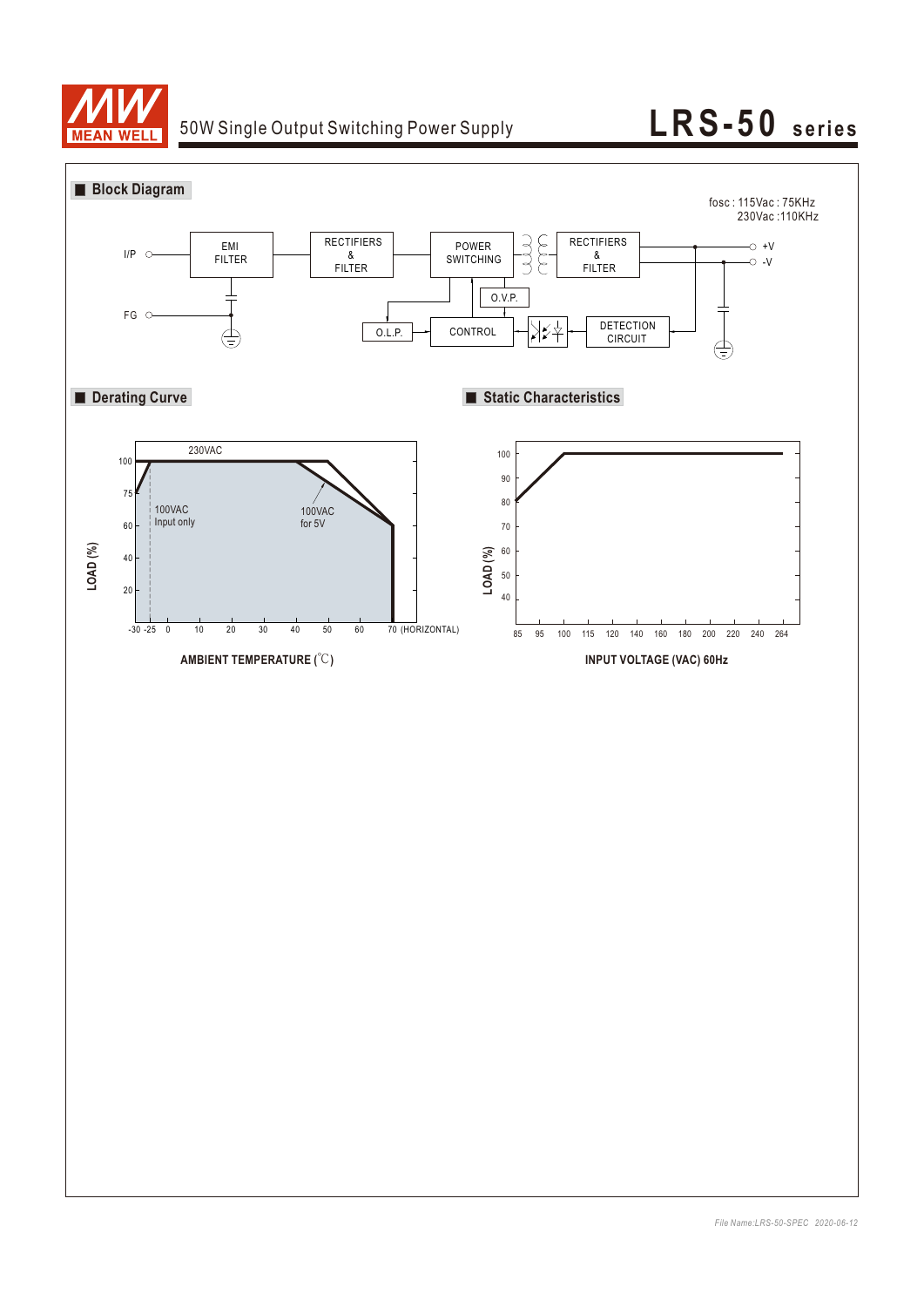

# 50W Single Output Switching Power Supply **LRS-50** series